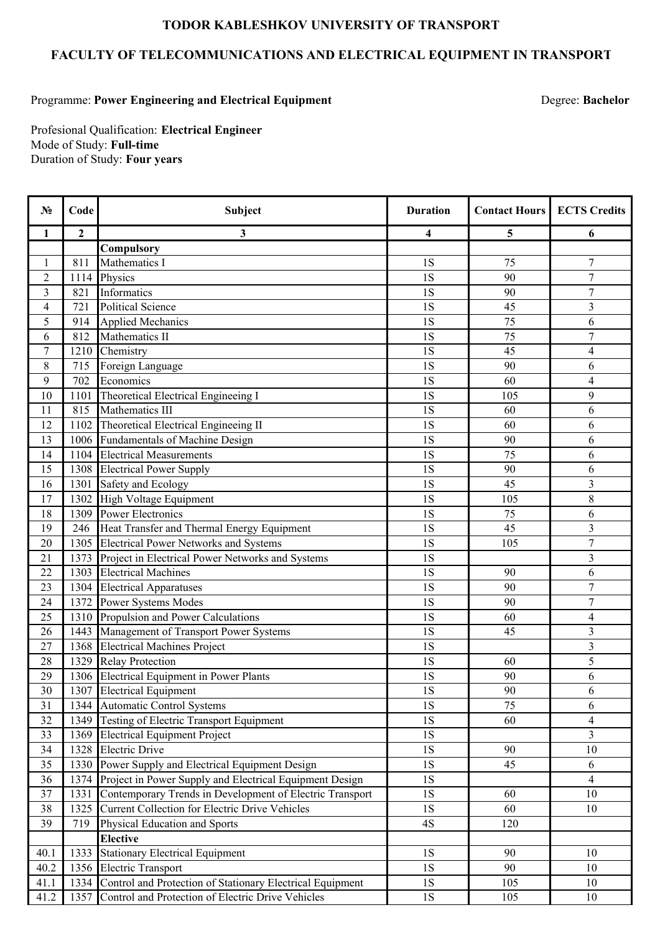## **TODOR KABLESHKOV UNIVERSITY OF TRANSPORT**

## **FACULTY OF TELECOMMUNICATIONS AND ELECTRICAL EQUIPMENT IN TRANSPORT**

## Programme: **Power Engineering and Electrical Equipment**

Degree: **Bachelor**

Profesional Qualification: **Electrical Engineer** Mode of Study: **Full-time** Duration of Study: **Four years**

| $N_2$                    | Code           | Subject                                                   | <b>Duration</b> | <b>Contact Hours</b> | <b>ECTS Credits</b>      |
|--------------------------|----------------|-----------------------------------------------------------|-----------------|----------------------|--------------------------|
| 1                        | $\overline{2}$ | 3                                                         | 4               | 5                    | 6                        |
|                          |                | Compulsory                                                |                 |                      |                          |
| $\mathbf{1}$             | 811            | Mathematics I                                             | 1S              | 75                   | $\overline{7}$           |
| $\sqrt{2}$               | 1114           | Physics                                                   | 1S              | 90                   | $\overline{7}$           |
| $\mathfrak{Z}$           | 821            | Informatics                                               | 1S              | 90                   | $\boldsymbol{7}$         |
| $\overline{\mathcal{L}}$ | 721            | <b>Political Science</b>                                  | 1S              | 45                   | 3                        |
| 5                        | 914            | <b>Applied Mechanics</b>                                  | 1S              | 75                   | 6                        |
| 6                        | 812            | Mathematics II                                            | 1S              | $\overline{75}$      | $\overline{7}$           |
| $\overline{7}$           | 1210           | Chemistry                                                 | 1S              | 45                   | $\overline{\mathcal{A}}$ |
| $\,8\,$                  | 715            | Foreign Language                                          | 1S              | 90                   | 6                        |
| 9                        | 702            | Economics                                                 | 1S              | 60                   | $\overline{4}$           |
| 10                       | 1101           | Theoretical Electrical Engineeing I                       | 1S              | 105                  | 9                        |
| 11                       | 815            | Mathematics III                                           | 1S              | 60                   | 6                        |
| 12                       | 1102           | Theoretical Electrical Engineeing II                      | 1S              | 60                   | 6                        |
| 13                       | 1006           | Fundamentals of Machine Design                            | 1S              | 90                   | 6                        |
| 14                       | 1104           | <b>Electrical Measurements</b>                            | 1S              | 75                   | 6                        |
| 15                       |                | 1308 Electrical Power Supply                              | 1S              | 90                   | 6                        |
| 16                       | 1301           | Safety and Ecology                                        | 1S              | 45                   | 3                        |
| 17                       | 1302           | High Voltage Equipment                                    | 1S              | 105                  | 8                        |
| 18                       | 1309           | <b>Power Electronics</b>                                  | 1S              | 75                   | 6                        |
| 19                       | 246            | Heat Transfer and Thermal Energy Equipment                | 1S              | 45                   | $\overline{3}$           |
| 20                       | 1305           | <b>Electrical Power Networks and Systems</b>              | 1S              | 105                  | $\overline{7}$           |
| 21                       | 1373           | Project in Electrical Power Networks and Systems          | 1S              |                      | 3                        |
| 22                       | 1303           | <b>Electrical Machines</b>                                | 1S              | 90                   | 6                        |
| 23                       |                | 1304 Electrical Apparatuses                               | 1S              | 90                   | $\overline{7}$           |
| 24                       | 1372           | Power Systems Modes                                       | 1S              | 90                   | $\overline{7}$           |
| 25                       | 1310           | Propulsion and Power Calculations                         | 1S              | 60                   | $\overline{\mathcal{A}}$ |
| 26                       | 1443           | Management of Transport Power Systems                     | 1S              | 45                   | 3                        |
| 27                       | 1368           | <b>Electrical Machines Project</b>                        | <b>1S</b>       |                      | 3                        |
| 28                       | 1329           | <b>Relay Protection</b>                                   | 1S              | 60                   | 5                        |
| 29                       |                | 1306 Electrical Equipment in Power Plants                 | 1S              | 90                   | 6                        |
| 30                       |                | 1307 Electrical Equipment                                 | 1S              | 90                   | 6                        |
| 31                       |                | 1344 Automatic Control Systems                            | 1S              | 75                   | 6                        |
| 32                       | 1349           | <b>Testing of Electric Transport Equipment</b>            | <b>1S</b>       | 60                   | 4                        |
| 33                       | 1369           | <b>Electrical Equipment Project</b>                       | <b>1S</b>       |                      | 3                        |
| 34                       | 1328           | <b>Electric Drive</b>                                     | 1S              | 90                   | 10                       |
| 35                       | 1330           | Power Supply and Electrical Equipment Design              | 1S              | 45                   | 6                        |
| 36                       | 1374           | Project in Power Supply and Electrical Equipment Design   | <b>1S</b>       |                      | 4                        |
| 37                       | 1331           | Contemporary Trends in Development of Electric Transport  | <b>1S</b>       | 60                   | 10                       |
| 38                       | 1325           | <b>Current Collection for Electric Drive Vehicles</b>     | <b>1S</b>       | 60                   | 10                       |
| 39                       | 719            | Physical Education and Sports                             | 4S              | 120                  |                          |
|                          |                | <b>Elective</b>                                           |                 |                      |                          |
| 40.1                     | 1333           | <b>Stationary Electrical Equipment</b>                    | <b>1S</b>       | 90                   | 10                       |
| 40.2                     | 1356           | <b>Electric Transport</b>                                 | <b>1S</b>       | 90                   | 10                       |
| 41.1                     | 1334           | Control and Protection of Stationary Electrical Equipment | 1S              | 105                  | 10                       |
| 41.2                     | 1357           | Control and Protection of Electric Drive Vehicles         | 1S              | 105                  | 10                       |